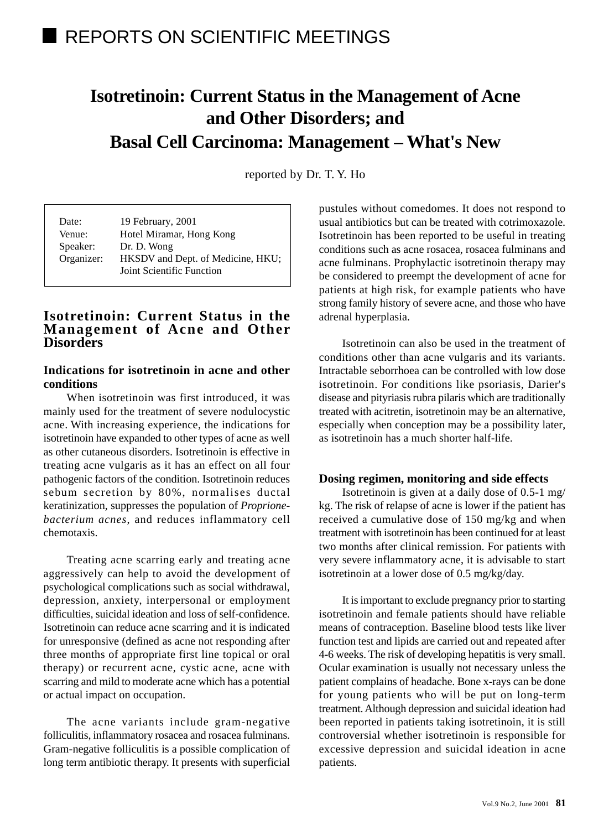# **Isotretinoin: Current Status in the Management of Acne and Other Disorders; and Basal Cell Carcinoma: Management – What's New**

reported by Dr. T. Y. Ho

| Date:      | 19 February, 2001                 |
|------------|-----------------------------------|
| Venue:     | Hotel Miramar, Hong Kong          |
| Speaker:   | Dr. D. Wong                       |
| Organizer: | HKSDV and Dept. of Medicine, HKU; |
|            | Joint Scientific Function         |

# **Isotretinoin: Current Status in the Management of Acne and Other Disorders**

## **Indications for isotretinoin in acne and other conditions**

When isotretinoin was first introduced, it was mainly used for the treatment of severe nodulocystic acne. With increasing experience, the indications for isotretinoin have expanded to other types of acne as well as other cutaneous disorders. Isotretinoin is effective in treating acne vulgaris as it has an effect on all four pathogenic factors of the condition. Isotretinoin reduces sebum secretion by 80%, normalises ductal keratinization, suppresses the population of *Proprionebacterium acnes*, and reduces inflammatory cell chemotaxis.

Treating acne scarring early and treating acne aggressively can help to avoid the development of psychological complications such as social withdrawal, depression, anxiety, interpersonal or employment difficulties, suicidal ideation and loss of self-confidence. Isotretinoin can reduce acne scarring and it is indicated for unresponsive (defined as acne not responding after three months of appropriate first line topical or oral therapy) or recurrent acne, cystic acne, acne with scarring and mild to moderate acne which has a potential or actual impact on occupation.

The acne variants include gram-negative folliculitis, inflammatory rosacea and rosacea fulminans. Gram-negative folliculitis is a possible complication of long term antibiotic therapy. It presents with superficial pustules without comedomes. It does not respond to usual antibiotics but can be treated with cotrimoxazole. Isotretinoin has been reported to be useful in treating conditions such as acne rosacea, rosacea fulminans and acne fulminans. Prophylactic isotretinoin therapy may be considered to preempt the development of acne for patients at high risk, for example patients who have strong family history of severe acne, and those who have adrenal hyperplasia.

Isotretinoin can also be used in the treatment of conditions other than acne vulgaris and its variants. Intractable seborrhoea can be controlled with low dose isotretinoin. For conditions like psoriasis, Darier's disease and pityriasis rubra pilaris which are traditionally treated with acitretin, isotretinoin may be an alternative, especially when conception may be a possibility later, as isotretinoin has a much shorter half-life.

## **Dosing regimen, monitoring and side effects**

Isotretinoin is given at a daily dose of 0.5-1 mg/ kg. The risk of relapse of acne is lower if the patient has received a cumulative dose of 150 mg/kg and when treatment with isotretinoin has been continued for at least two months after clinical remission. For patients with very severe inflammatory acne, it is advisable to start isotretinoin at a lower dose of 0.5 mg/kg/day.

It is important to exclude pregnancy prior to starting isotretinoin and female patients should have reliable means of contraception. Baseline blood tests like liver function test and lipids are carried out and repeated after 4-6 weeks. The risk of developing hepatitis is very small. Ocular examination is usually not necessary unless the patient complains of headache. Bone x-rays can be done for young patients who will be put on long-term treatment. Although depression and suicidal ideation had been reported in patients taking isotretinoin, it is still controversial whether isotretinoin is responsible for excessive depression and suicidal ideation in acne patients.